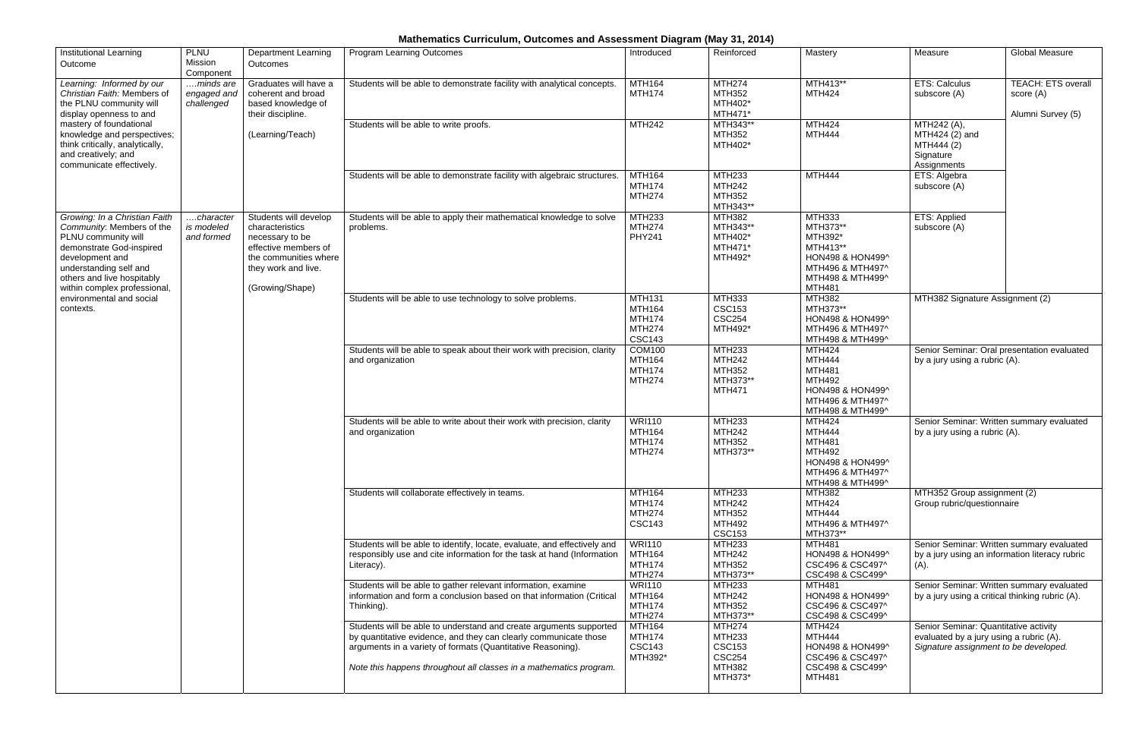## **Mathematics Curriculum, Outcomes and Assessment Diagram (May 31, 2014)**

| <b>Institutional Learning</b><br>Outcome                                                                                                                                                                                                                          | <b>PLNU</b><br>Mission<br>Component    | <b>Department Learning</b><br>Outcomes                                                                                                                 | <b>Program Learning Outcomes</b>                                                                                                                                                                                                                                            | Introduced                                                                        | Reinforced                                                                                   | Mastery                                                                                                                      | Measure                                                                                                                   | Global Measure                                              |                                                                         |  |
|-------------------------------------------------------------------------------------------------------------------------------------------------------------------------------------------------------------------------------------------------------------------|----------------------------------------|--------------------------------------------------------------------------------------------------------------------------------------------------------|-----------------------------------------------------------------------------------------------------------------------------------------------------------------------------------------------------------------------------------------------------------------------------|-----------------------------------------------------------------------------------|----------------------------------------------------------------------------------------------|------------------------------------------------------------------------------------------------------------------------------|---------------------------------------------------------------------------------------------------------------------------|-------------------------------------------------------------|-------------------------------------------------------------------------|--|
| Learning: Informed by our<br>Christian Faith: Members of<br>the PLNU community will<br>display openness to and<br>mastery of foundational<br>knowledge and perspectives;<br>think critically, analytically,<br>and creatively; and<br>communicate effectively.    | minds are<br>engaged and<br>challenged | Graduates will have a<br>coherent and broad<br>based knowledge of<br>their discipline.<br>(Learning/Teach)                                             | Students will be able to demonstrate facility with analytical concepts.                                                                                                                                                                                                     | <b>MTH164</b><br><b>MTH174</b>                                                    | <b>MTH274</b><br><b>MTH352</b><br>MTH402*<br>MTH471*                                         | MTH413**<br><b>MTH424</b>                                                                                                    | <b>ETS: Calculus</b><br>subscore (A)                                                                                      | <b>TEACH: ETS overall</b><br>score (A)<br>Alumni Survey (5) |                                                                         |  |
|                                                                                                                                                                                                                                                                   |                                        |                                                                                                                                                        |                                                                                                                                                                                                                                                                             |                                                                                   | Students will be able to write proofs.                                                       | <b>MTH242</b>                                                                                                                | MTH343**<br>MTH352<br>MTH402*                                                                                             | <b>MTH424</b><br><b>MTH444</b>                              | MTH242 (A),<br>MTH424 (2) and<br>MTH444 (2)<br>Signature<br>Assignments |  |
|                                                                                                                                                                                                                                                                   |                                        |                                                                                                                                                        | Students will be able to demonstrate facility with algebraic structures.                                                                                                                                                                                                    | <b>MTH164</b><br><b>MTH174</b><br><b>MTH274</b>                                   | <b>MTH233</b><br><b>MTH242</b><br>MTH352<br>MTH343**                                         | <b>MTH444</b>                                                                                                                | ETS: Algebra<br>subscore (A)                                                                                              |                                                             |                                                                         |  |
| Growing: In a Christian Faith<br>Community: Members of the<br>PLNU community will<br>demonstrate God-inspired<br>development and<br>understanding self and<br>others and live hospitably<br>within complex professional,<br>environmental and social<br>contexts. | character<br>is modeled<br>and formed  | Students will develop<br>characteristics<br>necessary to be<br>effective members of<br>the communities where<br>they work and live.<br>(Growing/Shape) | Students will be able to apply their mathematical knowledge to solve<br>problems.                                                                                                                                                                                           | <b>MTH233</b><br><b>MTH274</b><br><b>PHY241</b>                                   | <b>MTH382</b><br>MTH343**<br>MTH402*<br>MTH471*<br>MTH492*                                   | MTH333<br>MTH373**<br>MTH392*<br>MTH413**<br>HON498 & HON499^<br>MTH496 & MTH497^<br>MTH498 & MTH499^<br><b>MTH481</b>       | ETS: Applied<br>subscore (A)                                                                                              |                                                             |                                                                         |  |
|                                                                                                                                                                                                                                                                   |                                        |                                                                                                                                                        | Students will be able to use technology to solve problems.                                                                                                                                                                                                                  | <b>MTH131</b><br><b>MTH164</b><br><b>MTH174</b><br><b>MTH274</b><br><b>CSC143</b> | <b>MTH333</b><br><b>CSC153</b><br><b>CSC254</b><br>MTH492*                                   | <b>MTH382</b><br>MTH373**<br>HON498 & HON499^<br>MTH496 & MTH497^<br>MTH498 & MTH499^                                        | MTH382 Signature Assignment (2)                                                                                           |                                                             |                                                                         |  |
|                                                                                                                                                                                                                                                                   |                                        |                                                                                                                                                        | Students will be able to speak about their work with precision, clarity<br>and organization                                                                                                                                                                                 | <b>COM100</b><br><b>MTH164</b><br><b>MTH174</b><br><b>MTH274</b>                  | <b>MTH233</b><br><b>MTH242</b><br><b>MTH352</b><br>MTH373**<br><b>MTH471</b>                 | <b>MTH424</b><br><b>MTH444</b><br><b>MTH481</b><br><b>MTH492</b><br>HON498 & HON499^<br>MTH496 & MTH497^<br>MTH498 & MTH499^ | Senior Seminar: Oral presentation evaluated<br>by a jury using a rubric (A).                                              |                                                             |                                                                         |  |
|                                                                                                                                                                                                                                                                   |                                        |                                                                                                                                                        | Students will be able to write about their work with precision, clarity<br>and organization                                                                                                                                                                                 | <b>WRI110</b><br><b>MTH164</b><br><b>MTH174</b><br><b>MTH274</b>                  | <b>MTH233</b><br><b>MTH242</b><br><b>MTH352</b><br>MTH373**                                  | <b>MTH424</b><br><b>MTH444</b><br><b>MTH481</b><br><b>MTH492</b><br>HON498 & HON499^<br>MTH496 & MTH497^<br>MTH498 & MTH499^ | Senior Seminar: Written summary evaluated<br>by a jury using a rubric (A).                                                |                                                             |                                                                         |  |
|                                                                                                                                                                                                                                                                   |                                        |                                                                                                                                                        | Students will collaborate effectively in teams.                                                                                                                                                                                                                             | <b>MTH164</b><br><b>MTH174</b><br><b>MTH274</b><br><b>CSC143</b>                  | <b>MTH233</b><br><b>MTH242</b><br><b>MTH352</b><br><b>MTH492</b><br><b>CSC153</b>            | <b>MTH382</b><br><b>MTH424</b><br><b>MTH444</b><br>MTH496 & MTH497^<br>MTH373**                                              | MTH352 Group assignment (2)<br>Group rubric/questionnaire                                                                 |                                                             |                                                                         |  |
|                                                                                                                                                                                                                                                                   |                                        |                                                                                                                                                        | Students will be able to identify, locate, evaluate, and effectively and<br>responsibly use and cite information for the task at hand (Information<br>Literacy).                                                                                                            | <b>WRI110</b><br><b>MTH164</b><br><b>MTH174</b><br><b>MTH274</b>                  | <b>MTH233</b><br><b>MTH242</b><br><b>MTH352</b><br>MTH373**                                  | <b>MTH481</b><br>HON498 & HON499^<br>CSC496 & CSC497^<br>CSC498 & CSC499^                                                    | Senior Seminar: Written summary evaluated<br>by a jury using an information literacy rubric<br>$(A)$ .                    |                                                             |                                                                         |  |
|                                                                                                                                                                                                                                                                   |                                        |                                                                                                                                                        | Students will be able to gather relevant information, examine<br>information and form a conclusion based on that information (Critical<br>Thinking).                                                                                                                        | <b>WRI110</b><br><b>MTH164</b><br><b>MTH174</b><br><b>MTH274</b>                  | <b>MTH233</b><br><b>MTH242</b><br>MTH352<br>MTH373**                                         | <b>MTH481</b><br>HON498 & HON499^<br>CSC496 & CSC497^<br>CSC498 & CSC499^                                                    | Senior Seminar: Written summary evaluated<br>by a jury using a critical thinking rubric (A).                              |                                                             |                                                                         |  |
|                                                                                                                                                                                                                                                                   |                                        |                                                                                                                                                        | Students will be able to understand and create arguments supported<br>by quantitative evidence, and they can clearly communicate those<br>arguments in a variety of formats (Quantitative Reasoning).<br>Note this happens throughout all classes in a mathematics program. | <b>MTH164</b><br><b>MTH174</b><br><b>CSC143</b><br>MTH392*                        | <b>MTH274</b><br><b>MTH233</b><br><b>CSC153</b><br><b>CSC254</b><br><b>MTH382</b><br>MTH373* | <b>MTH424</b><br><b>MTH444</b><br>HON498 & HON499^<br>CSC496 & CSC497^<br>CSC498 & CSC499^<br><b>MTH481</b>                  | Senior Seminar: Quantitative activity<br>evaluated by a jury using a rubric (A).<br>Signature assignment to be developed. |                                                             |                                                                         |  |